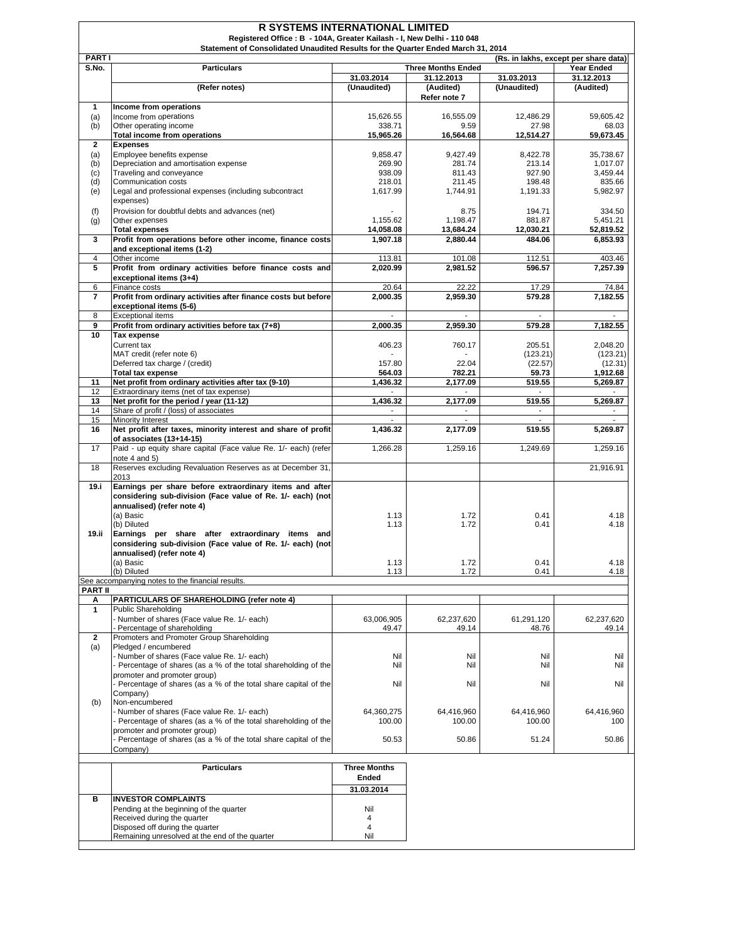| <b>PARTI</b>   | Statement of Consolidated Unaudited Results for the Quarter Ended March 31, 2014            |                     |                           | (Rs. in lakhs, except per share data) |                     |
|----------------|---------------------------------------------------------------------------------------------|---------------------|---------------------------|---------------------------------------|---------------------|
| S.No.          | <b>Particulars</b>                                                                          |                     | <b>Three Months Ended</b> |                                       | <b>Year Ended</b>   |
|                |                                                                                             | 31.03.2014          | 31.12.2013                | 31.03.2013                            | 31.12.2013          |
|                | (Refer notes)                                                                               | (Unaudited)         | (Audited)<br>Refer note 7 | (Unaudited)                           | (Audited)           |
| $\mathbf{1}$   | Income from operations                                                                      |                     |                           |                                       |                     |
| (a)            | Income from operations                                                                      | 15,626.55           | 16,555.09                 | 12,486.29                             | 59,605.42           |
| (b)            | Other operating income                                                                      | 338.71              | 9.59                      | 27.98                                 | 68.03               |
| $\overline{2}$ | <b>Total income from operations</b><br><b>Expenses</b>                                      | 15,965.26           | 16,564.68                 | 12,514.27                             | 59,673.45           |
| (a)            | Emplovee benefits expense                                                                   | 9.858.47            | 9,427.49                  | 8,422.78                              | 35,738.67           |
| (b)            | Depreciation and amortisation expense                                                       | 269.90              | 281.74                    | 213.14                                | 1,017.07            |
| (c)            | Traveling and conveyance                                                                    | 938.09              | 811.43                    | 927.90                                | 3,459.44            |
| (d)            | Communication costs                                                                         | 218.01              | 211.45                    | 198.48                                | 835.66              |
| (e)            | Legal and professional expenses (including subcontract                                      | 1,617.99            | 1,744.91                  | 1,191.33                              | 5,982.97            |
| (f)            | expenses)<br>Provision for doubtful debts and advances (net)                                |                     | 8.75                      | 194.71                                | 334.50              |
| (g)            | Other expenses                                                                              | 1,155.62            | 1,198.47                  | 881.87                                | 5,451.21            |
|                | <b>Total expenses</b>                                                                       | 14,058.08           | 13,684.24                 | 12,030.21                             | 52,819.52           |
| 3              | Profit from operations before other income, finance costs                                   | 1,907.18            | 2,880.44                  | 484.06                                | 6,853.93            |
|                | and exceptional items (1-2)                                                                 |                     |                           |                                       |                     |
| 4              | Other income                                                                                | 113.81              | 101.08                    | 112.51                                | 403.46              |
| 5              | Profit from ordinary activities before finance costs and                                    | 2,020.99            | 2,981.52                  | 596.57                                | 7,257.39            |
|                | exceptional items (3+4)<br>Finance costs                                                    | 20.64               | 22.22                     | 17.29                                 |                     |
| 6<br>7         | Profit from ordinary activities after finance costs but before                              | 2,000.35            | 2,959.30                  | 579.28                                | 74.84<br>7,182.55   |
|                | exceptional items (5-6)                                                                     |                     |                           |                                       |                     |
| 8              | <b>Exceptional items</b>                                                                    |                     |                           |                                       |                     |
| 9              | Profit from ordinary activities before tax (7+8)                                            | 2,000.35            | 2.959.30                  | 579.28                                | 7,182.55            |
| 10             | Tax expense                                                                                 |                     |                           |                                       |                     |
|                | Current tax                                                                                 | 406.23              | 760.17                    | 205.51                                | 2,048.20            |
|                | MAT credit (refer note 6)                                                                   |                     |                           | (123.21)                              | (123.21)            |
|                | Deferred tax charge / (credit)<br><b>Total tax expense</b>                                  | 157.80<br>564.03    | 22.04<br>782.21           | (22.57)<br>59.73                      | (12.31)<br>1,912.68 |
| 11             | Net profit from ordinary activities after tax (9-10)                                        | 1,436.32            | 2,177.09                  | 519.55                                | 5,269.87            |
| 12             | Extraordinary items (net of tax expense)                                                    |                     |                           |                                       |                     |
| 13             | Net profit for the period / year (11-12)                                                    | 1,436.32            | 2,177.09                  | 519.55                                | 5,269.87            |
| 14             | Share of profit / (loss) of associates                                                      | $\blacksquare$      | $\overline{\phantom{a}}$  | $\overline{\phantom{a}}$              |                     |
| 15             | Minority Interest                                                                           |                     |                           |                                       |                     |
| 16             | Net profit after taxes, minority interest and share of profit                               | 1,436.32            | 2,177.09                  | 519.55                                | 5,269.87            |
| 17             | of associates (13+14-15)<br>Paid - up equity share capital (Face value Re. 1/- each) (refer | 1,266.28            | 1,259.16                  | 1,249.69                              | 1,259.16            |
|                | note 4 and 5)                                                                               |                     |                           |                                       |                     |
| 18             | Reserves excluding Revaluation Reserves as at December 31,                                  |                     |                           |                                       | 21,916.91           |
|                | 2013                                                                                        |                     |                           |                                       |                     |
| 19.1           | Earnings per share before extraordinary items and after                                     |                     |                           |                                       |                     |
|                | considering sub-division (Face value of Re. 1/- each) (not                                  |                     |                           |                                       |                     |
|                | annualised) (refer note 4)<br>(a) Basic                                                     | 1.13                | 1.72                      | 0.41                                  | 4.18                |
|                | (b) Diluted                                                                                 | 1.13                | 1.72                      | 0.41                                  | 4.18                |
| 19.ii          | Earnings per share after extraordinary items and                                            |                     |                           |                                       |                     |
|                | considering sub-division (Face value of Re. 1/- each) (not                                  |                     |                           |                                       |                     |
|                | annualised) (refer note 4)                                                                  |                     |                           |                                       |                     |
|                | (a) Basic                                                                                   | 1.13                | 1.72                      | 0.41                                  | 4.18                |
|                | (b) Diluted<br>See accompanying notes to the financial results.                             | 1.13                | 1.72                      | 0.41                                  | 4.18                |
| <b>PART II</b> |                                                                                             |                     |                           |                                       |                     |
| Α              | PARTICULARS OF SHAREHOLDING (refer note 4)                                                  |                     |                           |                                       |                     |
| 1              | <b>Public Shareholding</b>                                                                  |                     |                           |                                       |                     |
|                | - Number of shares (Face value Re. 1/- each)<br>- Percentage of shareholding                | 63,006,905          | 62,237,620                | 61,291,120                            | 62,237,620          |
| $\mathbf{2}$   | Promoters and Promoter Group Shareholding                                                   | 49.47               | 49.14                     | 48.76                                 | 49.14               |
| (a)            | Pledged / encumbered                                                                        |                     |                           |                                       |                     |
|                | - Number of shares (Face value Re. 1/- each)                                                | Nil                 | Nil                       | Nil                                   | Nil                 |
|                | - Percentage of shares (as a % of the total shareholding of the                             | Nil                 | Nil                       | Nil                                   | Nil                 |
|                | promoter and promoter group)                                                                |                     |                           |                                       |                     |
|                | - Percentage of shares (as a % of the total share capital of the                            | Nil                 | Nil                       | Nil                                   | Nil                 |
| (b)            | Company)<br>Non-encumbered                                                                  |                     |                           |                                       |                     |
|                | - Number of shares (Face value Re. 1/- each)                                                | 64,360,275          | 64,416,960                | 64,416,960                            | 64,416,960          |
|                | - Percentage of shares (as a % of the total shareholding of the                             | 100.00              | 100.00                    | 100.00                                | 100                 |
|                | promoter and promoter group)                                                                |                     |                           |                                       |                     |
|                | - Percentage of shares (as a % of the total share capital of the                            | 50.53               | 50.86                     | 51.24                                 | 50.86               |
|                | Company)                                                                                    |                     |                           |                                       |                     |
|                | <b>Particulars</b>                                                                          | <b>Three Months</b> |                           |                                       |                     |
|                |                                                                                             | Ended               |                           |                                       |                     |
|                |                                                                                             | 31.03.2014          |                           |                                       |                     |
| в              | <b>INVESTOR COMPLAINTS</b>                                                                  |                     |                           |                                       |                     |
|                | Pending at the beginning of the quarter                                                     | Nil                 |                           |                                       |                     |
|                | Received during the quarter                                                                 | 4                   |                           |                                       |                     |
|                | Disposed off during the quarter                                                             | 4                   |                           |                                       |                     |
|                | Remaining unresolved at the end of the quarter                                              | Nil                 |                           |                                       |                     |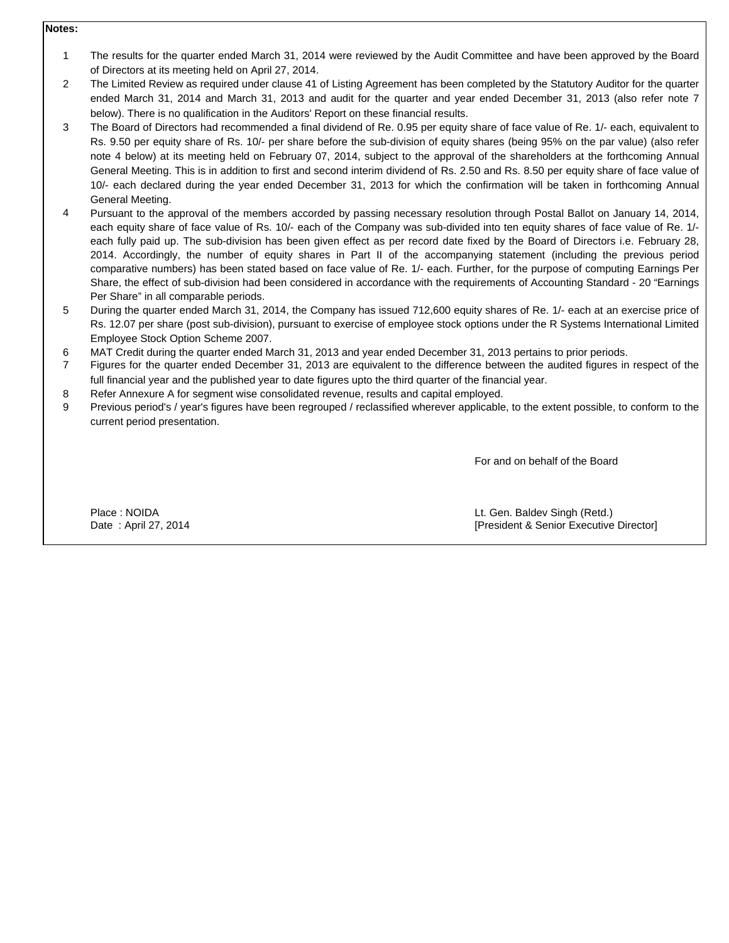## **Notes:**

- 1 The results for the quarter ended March 31, 2014 were reviewed by the Audit Committee and have been approved by the Board of Directors at its meeting held on April 27, 2014.
- 2 The Limited Review as required under clause 41 of Listing Agreement has been completed by the Statutory Auditor for the quarter ended March 31, 2014 and March 31, 2013 and audit for the quarter and year ended December 31, 2013 (also refer note 7 below). There is no qualification in the Auditors' Report on these financial results.
- 3 The Board of Directors had recommended a final dividend of Re. 0.95 per equity share of face value of Re. 1/- each, equivalent to Rs. 9.50 per equity share of Rs. 10/- per share before the sub-division of equity shares (being 95% on the par value) (also refer note 4 below) at its meeting held on February 07, 2014, subject to the approval of the shareholders at the forthcoming Annual General Meeting. This is in addition to first and second interim dividend of Rs. 2.50 and Rs. 8.50 per equity share of face value of 10/- each declared during the year ended December 31, 2013 for which the confirmation will be taken in forthcoming Annual General Meeting.
- 4 Pursuant to the approval of the members accorded by passing necessary resolution through Postal Ballot on January 14, 2014, each equity share of face value of Rs. 10/- each of the Company was sub-divided into ten equity shares of face value of Re. 1/ each fully paid up. The sub-division has been given effect as per record date fixed by the Board of Directors i.e. February 28, 2014. Accordingly, the number of equity shares in Part II of the accompanying statement (including the previous period comparative numbers) has been stated based on face value of Re. 1/- each. Further, for the purpose of computing Earnings Per Share, the effect of sub-division had been considered in accordance with the requirements of Accounting Standard - 20 "Earnings Per Share" in all comparable periods.
- 5 During the quarter ended March 31, 2014, the Company has issued 712,600 equity shares of Re. 1/- each at an exercise price of Rs. 12.07 per share (post sub-division), pursuant to exercise of employee stock options under the R Systems International Limited Employee Stock Option Scheme 2007.
- 6 MAT Credit during the quarter ended March 31, 2013 and year ended December 31, 2013 pertains to prior periods.
- 7 Figures for the quarter ended December 31, 2013 are equivalent to the difference between the audited figures in respect of the full financial year and the published year to date figures upto the third quarter of the financial year.
- 8 Refer Annexure A for segment wise consolidated revenue, results and capital employed.
- 9 Previous period's / year's figures have been regrouped / reclassified wherever applicable, to the extent possible, to conform to the current period presentation.

For and on behalf of the Board

Place : NOIDA **Calculate Contract Contract Contract Contract Contract Contract Contract Contract Contract Contract Contract Contract Contract Contract Contract Contract Contract Contract Contract Contract Contract Contract** Date : April 27, 2014 **Date : April 27, 2014 [President & Senior Executive Director]**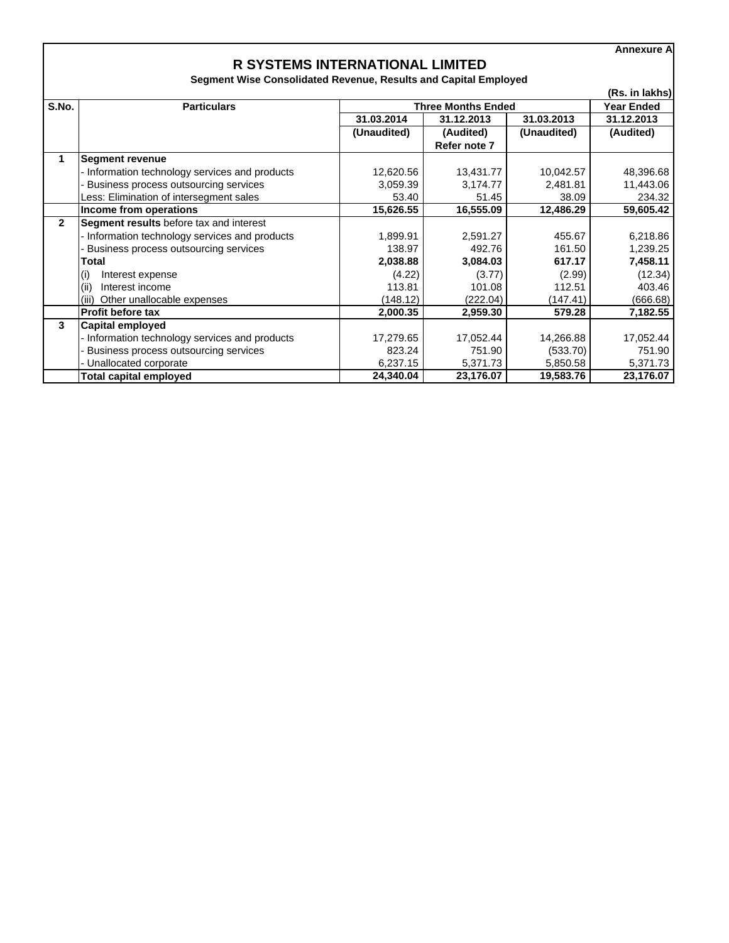**Annexure A**

## **R SYSTEMS INTERNATIONAL LIMITED**

**Segment Wise Consolidated Revenue, Results and Capital Employed**

| (Rs. in lakhs) |                                              |                           |              |             |                   |
|----------------|----------------------------------------------|---------------------------|--------------|-------------|-------------------|
| S.No.          | <b>Particulars</b>                           | <b>Three Months Ended</b> |              |             | <b>Year Ended</b> |
|                |                                              | 31.03.2014                | 31.12.2013   | 31.03.2013  | 31.12.2013        |
|                |                                              | (Unaudited)               | (Audited)    | (Unaudited) | (Audited)         |
|                |                                              |                           | Refer note 7 |             |                   |
| 1              | <b>Segment revenue</b>                       |                           |              |             |                   |
|                | Information technology services and products | 12,620.56                 | 13,431.77    | 10,042.57   | 48,396.68         |
|                | Business process outsourcing services        | 3,059.39                  | 3,174.77     | 2,481.81    | 11,443.06         |
|                | Less: Elimination of intersegment sales      | 53.40                     | 51.45        | 38.09       | 234.32            |
|                | Income from operations                       | 15,626.55                 | 16,555.09    | 12,486.29   | 59,605.42         |
| $\mathbf{2}$   | Segment results before tax and interest      |                           |              |             |                   |
|                | Information technology services and products | 1,899.91                  | 2,591.27     | 455.67      | 6,218.86          |
|                | Business process outsourcing services        | 138.97                    | 492.76       | 161.50      | 1,239.25          |
|                | Total                                        | 2,038.88                  | 3,084.03     | 617.17      | 7,458.11          |
|                | (i)<br>Interest expense                      | (4.22)                    | (3.77)       | (2.99)      | (12.34)           |
|                | (ii)<br>Interest income                      | 113.81                    | 101.08       | 112.51      | 403.46            |
|                | Other unallocable expenses<br>(iii)          | (148.12)                  | (222.04)     | (147.41)    | (666.68)          |
|                | <b>Profit before tax</b>                     | 2,000.35                  | 2,959.30     | 579.28      | 7,182.55          |
| 3              | Capital employed                             |                           |              |             |                   |
|                | Information technology services and products | 17,279.65                 | 17,052.44    | 14,266.88   | 17,052.44         |
|                | Business process outsourcing services        | 823.24                    | 751.90       | (533.70)    | 751.90            |
|                | Unallocated corporate                        | 6,237.15                  | 5,371.73     | 5,850.58    | 5,371.73          |
|                | Total capital employed                       | 24,340.04                 | 23,176.07    | 19,583.76   | 23,176.07         |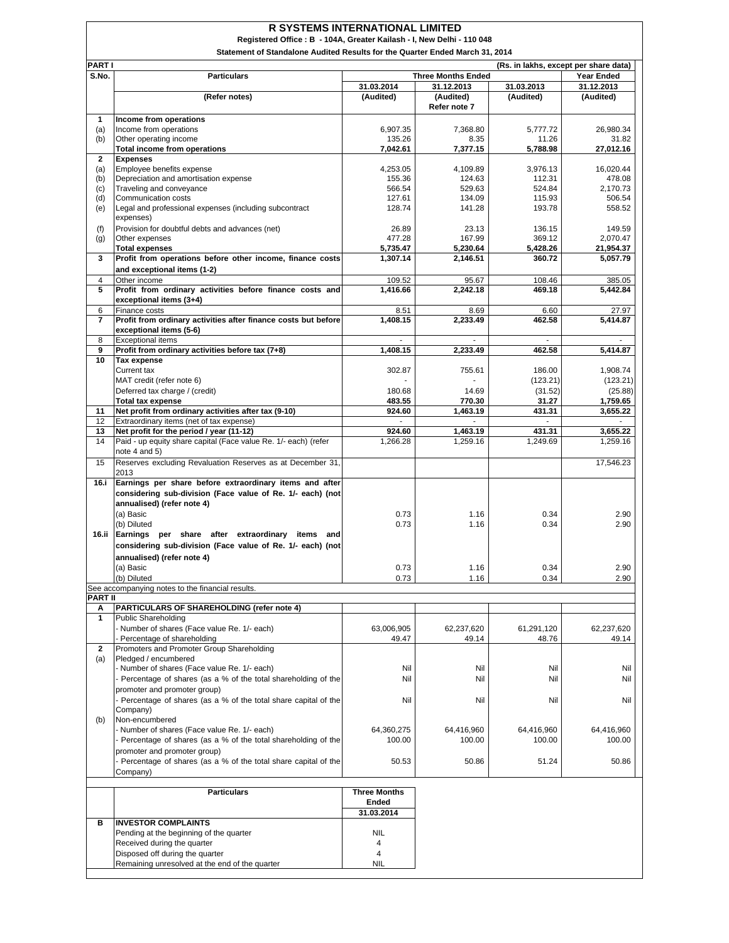|                                                                              | <b>R SYSTEMS INTERNATIONAL LIMITED</b><br>Registered Office: B - 104A, Greater Kailash - I, New Delhi - 110 048 |                      |                                         |                                       |                      |  |
|------------------------------------------------------------------------------|-----------------------------------------------------------------------------------------------------------------|----------------------|-----------------------------------------|---------------------------------------|----------------------|--|
| Statement of Standalone Audited Results for the Quarter Ended March 31, 2014 |                                                                                                                 |                      |                                         |                                       |                      |  |
| PART I                                                                       |                                                                                                                 |                      |                                         | (Rs. in lakhs, except per share data) |                      |  |
| S.No.                                                                        | <b>Particulars</b>                                                                                              |                      | <b>Three Months Ended</b>               |                                       | <b>Year Ended</b>    |  |
|                                                                              |                                                                                                                 | 31.03.2014           | 31.12.2013                              | 31.03.2013                            | 31.12.2013           |  |
|                                                                              | (Refer notes)                                                                                                   | (Audited)            | (Audited)                               | (Audited)                             | (Audited)            |  |
|                                                                              |                                                                                                                 |                      | Refer note 7                            |                                       |                      |  |
| 1                                                                            | Income from operations                                                                                          |                      |                                         |                                       |                      |  |
| (a)<br>(b)                                                                   | Income from operations<br>Other operating income                                                                | 6,907.35<br>135.26   | 7,368.80<br>8.35                        | 5,777.72<br>11.26                     | 26,980.34<br>31.82   |  |
|                                                                              | <b>Total income from operations</b>                                                                             | 7,042.61             | 7,377.15                                | 5,788.98                              | 27,012.16            |  |
| $\overline{2}$                                                               | <b>Expenses</b>                                                                                                 |                      |                                         |                                       |                      |  |
| (a)                                                                          | Employee benefits expense                                                                                       | 4,253.05             | 4,109.89                                | 3,976.13                              | 16,020.44            |  |
| (b)                                                                          | Depreciation and amortisation expense                                                                           | 155.36<br>566.54     | 124.63                                  | 112.31                                | 478.08               |  |
| (c)<br>(d)                                                                   | Traveling and conveyance<br>Communication costs                                                                 | 127.61               | 529.63<br>134.09                        | 524.84<br>115.93                      | 2,170.73<br>506.54   |  |
| (e)                                                                          | Legal and professional expenses (including subcontract<br>expenses)                                             | 128.74               | 141.28                                  | 193.78                                | 558.52               |  |
| (f)                                                                          | Provision for doubtful debts and advances (net)                                                                 | 26.89                | 23.13                                   | 136.15                                | 149.59               |  |
| (g)                                                                          | Other expenses                                                                                                  | 477.28               | 167.99                                  | 369.12                                | 2,070.47             |  |
|                                                                              | <b>Total expenses</b>                                                                                           | 5,735.47             | 5,230.64                                | 5,428.26                              | 21,954.37            |  |
| 3                                                                            | Profit from operations before other income, finance costs                                                       | 1,307.14             | 2,146.51                                | 360.72                                | 5,057.79             |  |
|                                                                              | and exceptional items (1-2)                                                                                     |                      |                                         |                                       |                      |  |
| 4                                                                            | Other income                                                                                                    | 109.52               | 95.67                                   | 108.46                                | 385.05               |  |
| 5                                                                            | Profit from ordinary activities before finance costs and<br>exceptional items (3+4)                             | 1,416.66             | 2,242.18                                | 469.18                                | 5,442.84             |  |
| 6                                                                            | Finance costs<br>Profit from ordinary activities after finance costs but before                                 | 8.51                 | 8.69                                    | 6.60                                  | 27.97                |  |
| $\overline{7}$                                                               | exceptional items (5-6)                                                                                         | 1,408.15             | 2,233.49                                | 462.58                                | 5,414.87             |  |
| 8                                                                            | <b>Exceptional items</b>                                                                                        |                      |                                         |                                       |                      |  |
| 9                                                                            | Profit from ordinary activities before tax (7+8)                                                                | 1,408.15             | 2,233.49                                | 462.58                                | 5,414.87             |  |
| 10                                                                           | <b>Tax expense</b>                                                                                              |                      |                                         |                                       |                      |  |
|                                                                              | Current tax                                                                                                     | 302.87               | 755.61                                  | 186.00                                | 1,908.74             |  |
|                                                                              | MAT credit (refer note 6)                                                                                       |                      | $\blacksquare$                          | (123.21)                              | (123.21)             |  |
|                                                                              | Deferred tax charge / (credit)                                                                                  | 180.68               | 14.69                                   | (31.52)                               | (25.88)              |  |
|                                                                              | <b>Total tax expense</b>                                                                                        | 483.55               | 770.30                                  | 31.27                                 | 1,759.65             |  |
| 11<br>12                                                                     | Net profit from ordinary activities after tax (9-10)<br>Extraordinary items (net of tax expense)                | 924.60<br>$\omega$   | 1,463.19<br>$\mathcal{L}^{\mathcal{L}}$ | 431.31<br>$\mathbf{r}$                | 3,655.22             |  |
| 13                                                                           | Net profit for the period / year (11-12)                                                                        | 924.60               | 1,463.19                                | 431.31                                | 3,655.22             |  |
| 14                                                                           | Paid - up equity share capital (Face value Re. 1/- each) (refer                                                 | 1,266.28             | 1,259.16                                | 1,249.69                              | 1,259.16             |  |
|                                                                              | note 4 and 5)                                                                                                   |                      |                                         |                                       |                      |  |
| 15                                                                           | Reserves excluding Revaluation Reserves as at December 31,<br>2013                                              |                      |                                         |                                       | 17,546.23            |  |
| 16.i                                                                         | Earnings per share before extraordinary items and after                                                         |                      |                                         |                                       |                      |  |
|                                                                              | considering sub-division (Face value of Re. 1/- each) (not                                                      |                      |                                         |                                       |                      |  |
|                                                                              | annualised) (refer note 4)                                                                                      |                      |                                         |                                       |                      |  |
|                                                                              | (a) Basic                                                                                                       | 0.73                 | 1.16                                    | 0.34                                  | 2.90                 |  |
|                                                                              | (b) Diluted<br>16.ii Earnings<br>share after extraordinary                                                      | 0.73                 | 1.16                                    | 0.34                                  | 2.90                 |  |
|                                                                              | per<br>items<br>and<br>considering sub-division (Face value of Re. 1/- each) (not                               |                      |                                         |                                       |                      |  |
|                                                                              |                                                                                                                 |                      |                                         |                                       |                      |  |
|                                                                              | annualised) (refer note 4)<br>(a) Basic                                                                         | 0.73                 | 1.16                                    | 0.34                                  | 2.90                 |  |
|                                                                              | (b) Diluted                                                                                                     | 0.73                 | 1.16                                    | 0.34                                  | 2.90                 |  |
|                                                                              | See accompanying notes to the financial results.                                                                |                      |                                         |                                       |                      |  |
| <b>PART II</b>                                                               |                                                                                                                 |                      |                                         |                                       |                      |  |
| Α                                                                            | PARTICULARS OF SHAREHOLDING (refer note 4)                                                                      |                      |                                         |                                       |                      |  |
| $\mathbf{1}$                                                                 | <b>Public Shareholding</b>                                                                                      |                      |                                         |                                       |                      |  |
|                                                                              | Number of shares (Face value Re. 1/- each)<br>Percentage of shareholding                                        | 63,006,905<br>49.47  | 62,237,620<br>49.14                     | 61,291,120<br>48.76                   | 62,237,620<br>49.14  |  |
| $\overline{2}$                                                               | Promoters and Promoter Group Shareholding                                                                       |                      |                                         |                                       |                      |  |
| (a)                                                                          | Pledged / encumbered                                                                                            |                      |                                         |                                       |                      |  |
|                                                                              | - Number of shares (Face value Re. 1/- each)                                                                    | Nil                  | Nil                                     | Nil                                   | Nil                  |  |
|                                                                              | - Percentage of shares (as a % of the total shareholding of the                                                 | Nil                  | Nil                                     | Nil                                   | Nil                  |  |
|                                                                              | promoter and promoter group)                                                                                    |                      |                                         |                                       |                      |  |
|                                                                              | Percentage of shares (as a % of the total share capital of the                                                  | Nil                  | Nil                                     | Nil                                   | Nil                  |  |
|                                                                              | Company)                                                                                                        |                      |                                         |                                       |                      |  |
| (b)                                                                          | Non-encumbered<br>- Number of shares (Face value Re. 1/- each)                                                  |                      |                                         |                                       |                      |  |
|                                                                              | - Percentage of shares (as a % of the total shareholding of the                                                 | 64,360,275<br>100.00 | 64,416,960<br>100.00                    | 64,416,960<br>100.00                  | 64,416,960<br>100.00 |  |
|                                                                              | promoter and promoter group)                                                                                    |                      |                                         |                                       |                      |  |
|                                                                              | Percentage of shares (as a % of the total share capital of the                                                  | 50.53                | 50.86                                   | 51.24                                 | 50.86                |  |
|                                                                              | Company)                                                                                                        |                      |                                         |                                       |                      |  |
|                                                                              |                                                                                                                 |                      |                                         |                                       |                      |  |
|                                                                              | <b>Particulars</b>                                                                                              | <b>Three Months</b>  |                                         |                                       |                      |  |
|                                                                              |                                                                                                                 | Ended                |                                         |                                       |                      |  |
|                                                                              |                                                                                                                 | 31.03.2014           |                                         |                                       |                      |  |
| в                                                                            | <b>INVESTOR COMPLAINTS</b><br>Pending at the beginning of the quarter                                           | <b>NIL</b>           |                                         |                                       |                      |  |
|                                                                              | Received during the quarter                                                                                     | 4                    |                                         |                                       |                      |  |
|                                                                              | Disposed off during the quarter                                                                                 | 4                    |                                         |                                       |                      |  |
|                                                                              | Remaining unresolved at the end of the quarter                                                                  | <b>NIL</b>           |                                         |                                       |                      |  |
|                                                                              |                                                                                                                 |                      |                                         |                                       |                      |  |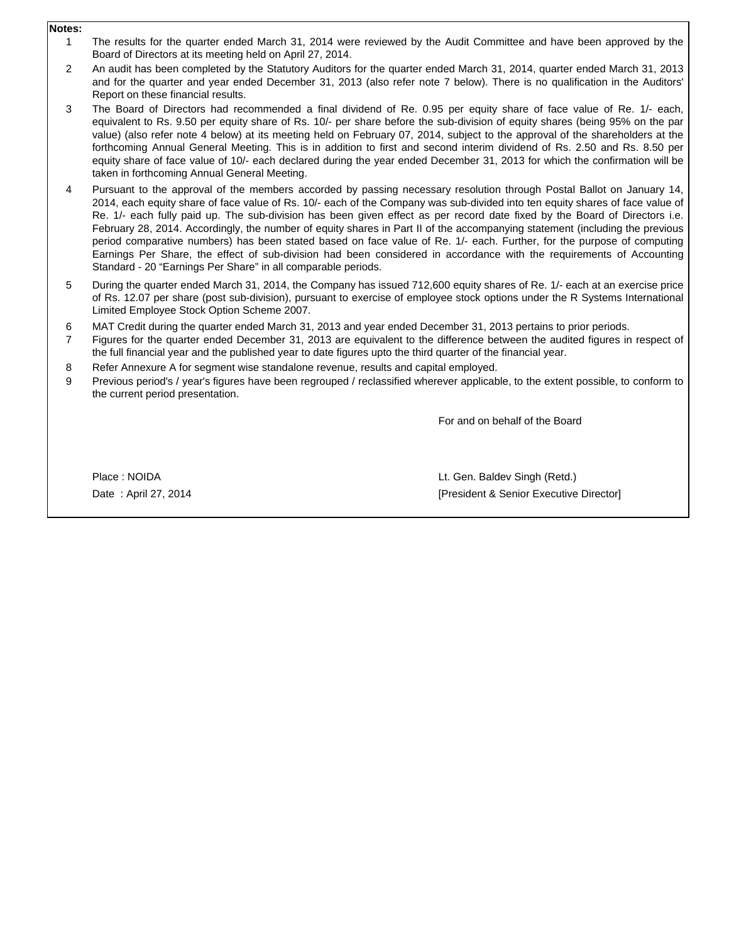## **Notes:**

- 1 The results for the quarter ended March 31, 2014 were reviewed by the Audit Committee and have been approved by the Board of Directors at its meeting held on April 27, 2014.
- 2 An audit has been completed by the Statutory Auditors for the quarter ended March 31, 2014, quarter ended March 31, 2013 and for the quarter and year ended December 31, 2013 (also refer note 7 below). There is no qualification in the Auditors' Report on these financial results.
- 3 The Board of Directors had recommended a final dividend of Re. 0.95 per equity share of face value of Re. 1/- each, equivalent to Rs. 9.50 per equity share of Rs. 10/- per share before the sub-division of equity shares (being 95% on the par value) (also refer note 4 below) at its meeting held on February 07, 2014, subject to the approval of the shareholders at the forthcoming Annual General Meeting. This is in addition to first and second interim dividend of Rs. 2.50 and Rs. 8.50 per equity share of face value of 10/- each declared during the year ended December 31, 2013 for which the confirmation will be taken in forthcoming Annual General Meeting.
- 4 Pursuant to the approval of the members accorded by passing necessary resolution through Postal Ballot on January 14, 2014, each equity share of face value of Rs. 10/- each of the Company was sub-divided into ten equity shares of face value of Re. 1/- each fully paid up. The sub-division has been given effect as per record date fixed by the Board of Directors i.e. February 28, 2014. Accordingly, the number of equity shares in Part II of the accompanying statement (including the previous period comparative numbers) has been stated based on face value of Re. 1/- each. Further, for the purpose of computing Earnings Per Share, the effect of sub-division had been considered in accordance with the requirements of Accounting Standard - 20 "Earnings Per Share" in all comparable periods.
- 5 During the quarter ended March 31, 2014, the Company has issued 712,600 equity shares of Re. 1/- each at an exercise price of Rs. 12.07 per share (post sub-division), pursuant to exercise of employee stock options under the R Systems International Limited Employee Stock Option Scheme 2007.
- 6 MAT Credit during the quarter ended March 31, 2013 and year ended December 31, 2013 pertains to prior periods.
- 7 Figures for the quarter ended December 31, 2013 are equivalent to the difference between the audited figures in respect of the full financial year and the published year to date figures upto the third quarter of the financial year.
- 8 Refer Annexure A for segment wise standalone revenue, results and capital employed.
- 9 Previous period's / year's figures have been regrouped / reclassified wherever applicable, to the extent possible, to conform to the current period presentation.

For and on behalf of the Board

Place : NOIDA Date : April 27, 2014 Lt. Gen. Baldev Singh (Retd.) [President & Senior Executive Director]